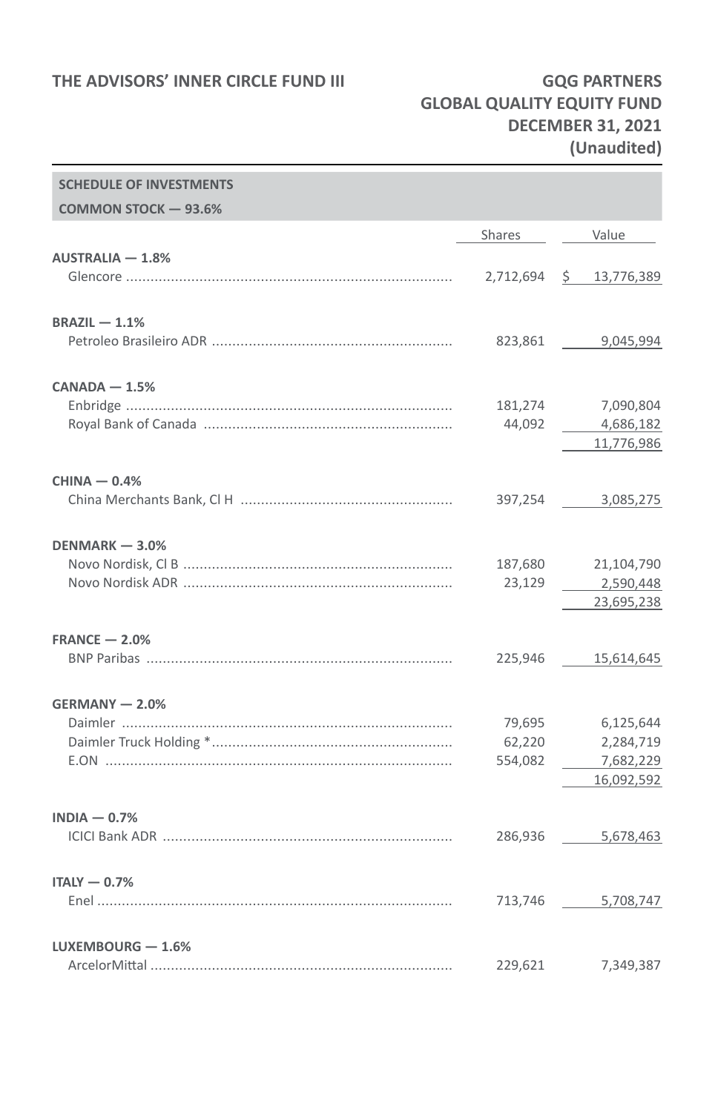**SCHEDULE OF INVESTMENTS**

## **GLOBAL QUALITY EQUITY FUND DECEMBER 31, 2021 (Unaudited)**

| <b>SCHEDULE OF INVESTMENTS</b> |         |                         |
|--------------------------------|---------|-------------------------|
| COMMON STOCK - 93.6%           |         |                         |
|                                | Shares  | Value                   |
| $AUSTRALIA - 1.8%$             |         |                         |
|                                |         | 2,712,694 \$ 13,776,389 |
|                                |         |                         |
| $BRAZIL - 1.1%$                |         |                         |
|                                |         | 823,861 9,045,994       |
|                                |         |                         |
| $CANADA - 1.5%$                |         |                         |
|                                | 181,274 | 7,090,804               |
|                                | 44,092  | 4,686,182               |
|                                |         | 11,776,986              |
| $CHINA - 0.4%$                 |         |                         |
|                                |         | 397,254 3,085,275       |
|                                |         |                         |
| $DENMARK - 3.0%$               |         |                         |
|                                | 187,680 | 21,104,790              |
|                                | 23,129  | 2,590,448               |
|                                |         | 23,695,238              |
| $FRANCE - 2.0%$                |         |                         |
|                                |         | 225,946 15,614,645      |
|                                |         |                         |
| GERMANY - 2.0%                 |         |                         |
|                                | 79,695  | 6,125,644               |
|                                | 62,220  | 2,284,719               |
|                                | 554,082 | 7,682,229               |
|                                |         | 16,092,592              |
| $INDIA - 0.7%$                 |         |                         |
|                                |         | 286,936 5,678,463       |
|                                |         |                         |
| $ITALY - 0.7%$                 |         |                         |
|                                |         | 713,746 5,708,747       |
|                                |         |                         |
| LUXEMBOURG $-1.6%$             |         |                         |
|                                | 229,621 | 7,349,387               |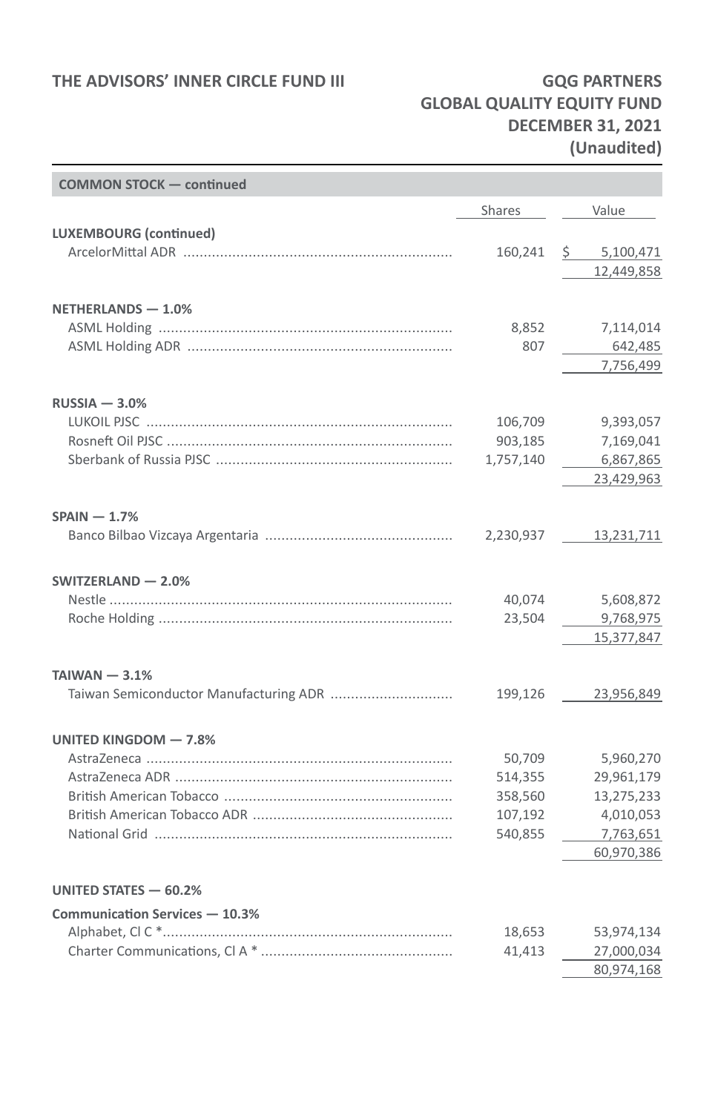# **GLOBAL QUALITY EQUITY FUND DECEMBER 31, 2021 (Unaudited)**

| <b>COMMON STOCK - continued</b>        |           |             |
|----------------------------------------|-----------|-------------|
|                                        | Shares    | Value       |
| <b>LUXEMBOURG</b> (continued)          |           |             |
|                                        | 160,241   | \$5,100,471 |
|                                        |           | 12,449,858  |
|                                        |           |             |
| NETHERLANDS - 1.0%                     |           |             |
|                                        | 8,852     | 7,114,014   |
|                                        | 807       | 642,485     |
|                                        |           | 7,756,499   |
| $RUSSIA - 3.0%$                        |           |             |
|                                        | 106,709   | 9,393,057   |
|                                        | 903,185   | 7,169,041   |
|                                        | 1,757,140 | 6,867,865   |
|                                        |           | 23,429,963  |
| $SPAIN - 1.7%$                         |           |             |
|                                        | 2,230,937 | 13,231,711  |
|                                        |           |             |
| SWITZERLAND - 2.0%                     |           |             |
|                                        | 40,074    | 5,608,872   |
|                                        | 23,504    | 9,768,975   |
|                                        |           | 15,377,847  |
| $TAIWAN - 3.1%$                        |           |             |
| Taiwan Semiconductor Manufacturing ADR | 199,126   | 23,956,849  |
|                                        |           |             |
| UNITED KINGDOM - 7.8%                  |           |             |
|                                        | 50,709    | 5,960,270   |
|                                        | 514,355   | 29,961,179  |
|                                        | 358,560   | 13,275,233  |
|                                        | 107,192   | 4,010,053   |
|                                        | 540,855   | 7,763,651   |
|                                        |           | 60,970,386  |
| UNITED STATES - 60.2%                  |           |             |
| Communication Services - 10.3%         |           |             |
|                                        | 18,653    | 53,974,134  |
|                                        | 41,413    | 27,000,034  |
|                                        |           | 80,974,168  |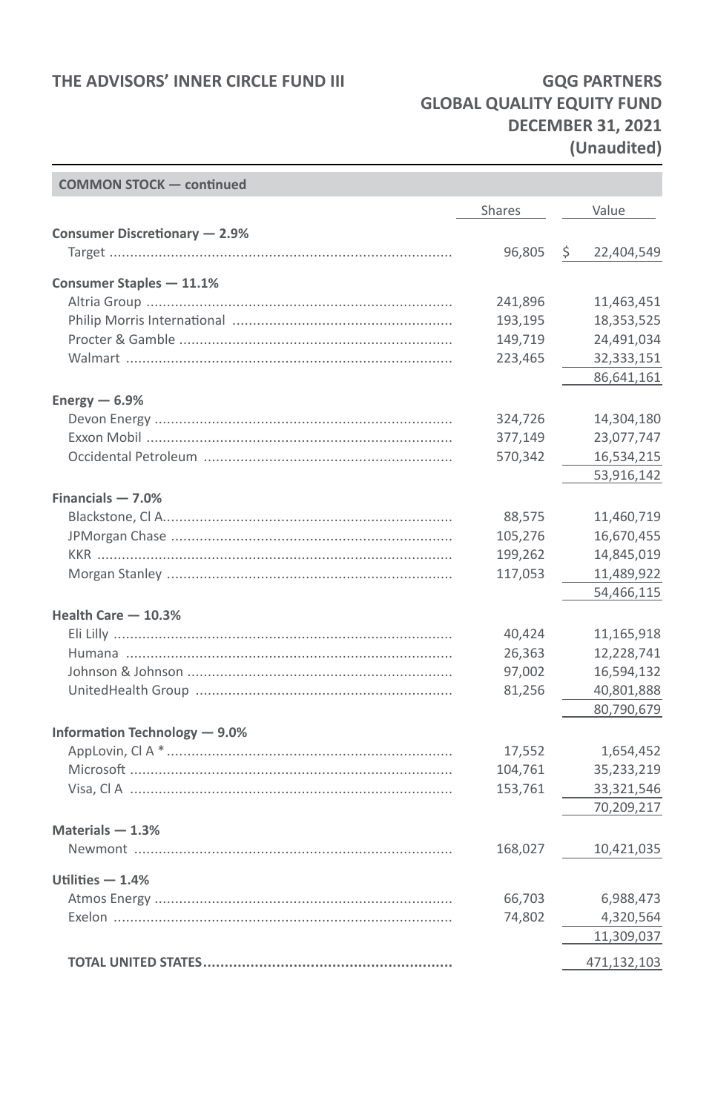# **GLOBAL QUALITY EQUITY FUND DECEMBER 31, 2021 (Unaudited)**

| <b>COMMON STOCK - continued</b> |         |                  |
|---------------------------------|---------|------------------|
|                                 | Shares  | Value            |
| Consumer Discretionary - 2.9%   |         |                  |
|                                 | 96,805  | \$<br>22,404,549 |
| Consumer Staples - 11.1%        |         |                  |
|                                 | 241,896 | 11,463,451       |
|                                 | 193,195 | 18,353,525       |
|                                 | 149,719 | 24,491,034       |
|                                 | 223,465 | 32,333,151       |
|                                 |         | 86,641,161       |
| Energy $-6.9%$                  |         |                  |
|                                 | 324,726 | 14,304,180       |
|                                 | 377,149 | 23,077,747       |
|                                 | 570,342 | 16,534,215       |
|                                 |         | 53,916,142       |
| Financials $-7.0%$              |         |                  |
|                                 | 88,575  | 11,460,719       |
|                                 | 105,276 | 16,670,455       |
|                                 | 199,262 | 14,845,019       |
|                                 | 117,053 | 11,489,922       |
|                                 |         | 54,466,115       |
| Health Care - 10.3%             |         |                  |
|                                 | 40,424  | 11,165,918       |
|                                 | 26,363  | 12,228,741       |
|                                 | 97,002  | 16,594,132       |
|                                 | 81,256  | 40,801,888       |
|                                 |         | 80,790,679       |
| Information Technology - 9.0%   |         |                  |
|                                 | 17,552  | 1,654,452        |
|                                 | 104,761 | 35,233,219       |
|                                 | 153,761 | 33,321,546       |
|                                 |         | 70,209,217       |
| Materials $-1.3%$               |         |                  |
|                                 | 168,027 | 10,421,035       |
| Utilities $-1.4%$               |         |                  |
|                                 | 66,703  | 6,988,473        |
|                                 | 74,802  | 4,320,564        |
|                                 |         | 11,309,037       |
|                                 |         | 471,132,103      |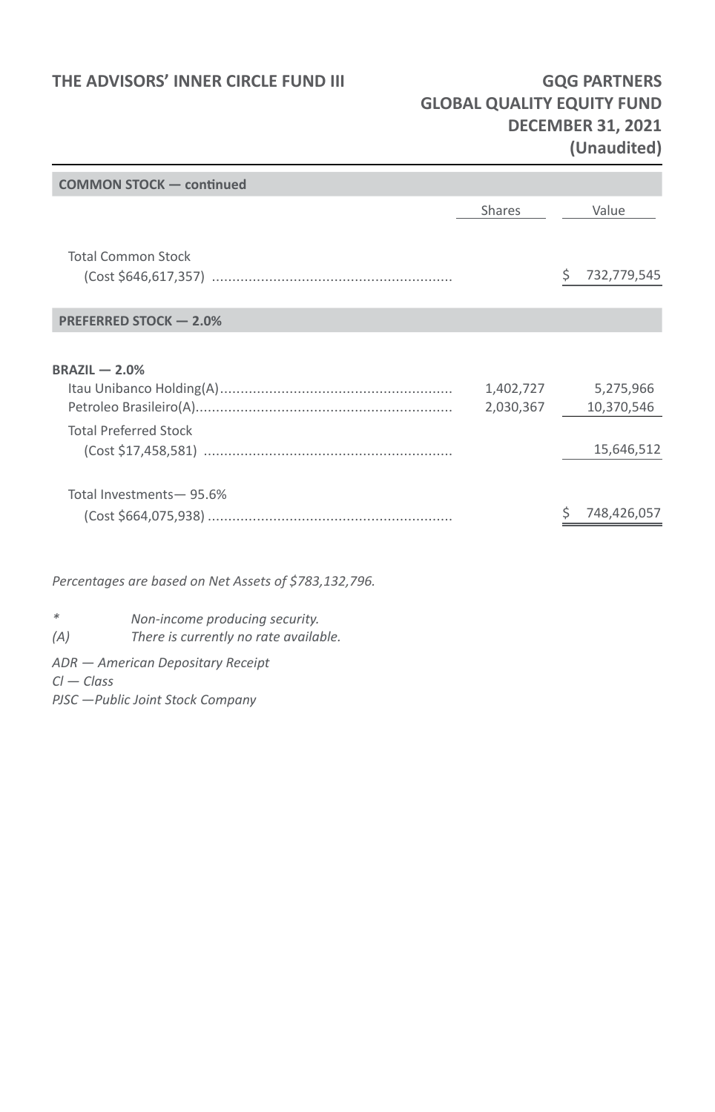### **GLOBAL QUALITY EQUITY FUND DECEMBER 31, 2021 (Unaudited)**

| <b>COMMON STOCK - continued</b>                       |                        |                                       |
|-------------------------------------------------------|------------------------|---------------------------------------|
|                                                       | <b>Shares</b>          | Value                                 |
| <b>Total Common Stock</b>                             |                        | 732,779,545<br>S                      |
| PREFERRED STOCK - 2.0%                                |                        |                                       |
| $BRAZIL - 2.0%$<br><b>Total Preferred Stock</b>       | 1,402,727<br>2,030,367 | 5,275,966<br>10,370,546<br>15,646,512 |
| Total Investments-95.6%                               |                        | 748,426,057                           |
| Percentages are based on Net Assets of \$783,132,796. |                        |                                       |
| *<br>Non-income producing security.                   |                        |                                       |

*(A) There is currently no rate available.* 

*ADR — American Depositary Receipt*

*Cl — Class*

*PJSC —Public Joint Stock Company*